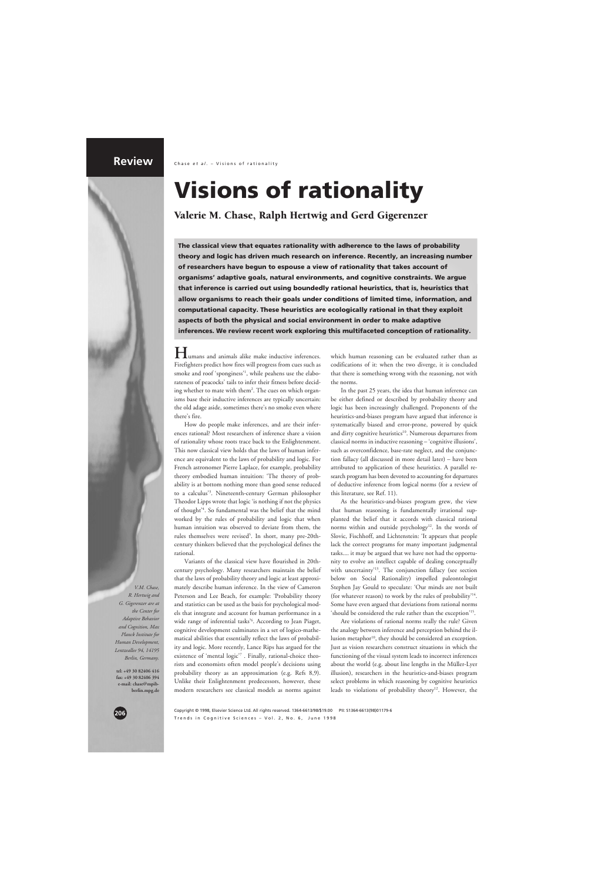# Visions of rationality

## Valerie M. Chase, Ralph Hertwig and Gerd Gigerenzer

The classical view that equates rationality with adherence to the laws of probability theory and logic has driven much research on inference. Recently, an increasing number of researchers have begun to espouse a view of rationality that takes account of organisms' adaptive goals, natural environments, and cognitive constraints. We argue that inference is carried out using boundedly rational heuristics, that is, heuristics that allow organisms to reach their goals under conditions of limited time, information, and computational capacity. These heuristics are ecologically rational in that they exploit aspects of both the physical and social environment in order to make adaptive inferences. We review recent work exploring this multifaceted conception of rationality.

**H**umans and animals alike make inductive inferences. Firefighters predict how fires will progress from cues such as smoke and roof 'sponginess'1 , while peahens use the elaborateness of peacocks' tails to infer their fitness before deciding whether to mate with them<sup>2</sup>. The cues on which organisms base their inductive inferences are typically uncertain: the old adage aside, sometimes there's no smoke even where there's fire.

How do people make inferences, and are their inferences rational? Most researchers of inference share a vision of rationality whose roots trace back to the Enlightenment. This now classical view holds that the laws of human inference are equivalent to the laws of probability and logic. For French astronomer Pierre Laplace, for example, probability theory embodied human intuition: 'The theory of probability is at bottom nothing more than good sense reduced to a calculus'3 . Nineteenth-century German philosopher Theodor Lipps wrote that logic 'is nothing if not the physics of thought<sup>24</sup>. So fundamental was the belief that the mind worked by the rules of probability and logic that when human intuition was observed to deviate from them, the rules themselves were revised<sup>5</sup>. In short, many pre-20thcentury thinkers believed that the psychological defines the rational.

Variants of the classical view have flourished in 20thcentury psychology. Many researchers maintain the belief that the laws of probability theory and logic at least approximately describe human inference. In the view of Cameron Peterson and Lee Beach, for example: 'Probability theory and statistics can be used as the basis for psychological models that integrate and account for human performance in a wide range of inferential tasks'6 . According to Jean Piaget, cognitive development culminates in a set of logico-mathematical abilities that essentially reflect the laws of probability and logic. More recently, Lance Rips has argued for the existence of 'mental logic'7 . Finally, rational-choice theorists and economists often model people's decisions using probability theory as an approximation (e.g. Refs 8,9). Unlike their Enlightenment predecessors, however, these modern researchers see classical models as norms against which human reasoning can be evaluated rather than as codifications of it: when the two diverge, it is concluded that there is something wrong with the reasoning, not with the norms.

In the past 25 years, the idea that human inference can be either defined or described by probability theory and logic has been increasingly challenged. Proponents of the heuristics-and-biases program have argued that inference is systematically biased and error-prone, powered by quick and dirty cognitive heuristics<sup>10</sup>. Numerous departures from classical norms in inductive reasoning – 'cognitive illusions', such as overconfidence, base-rate neglect, and the conjunction fallacy (all discussed in more detail later) – have been attributed to application of these heuristics. A parallel research program has been devoted to accounting for departures of deductive inference from logical norms (for a review of this literature, see Ref. 11).

As the heuristics-and-biases program grew, the view that human reasoning is fundamentally irrational supplanted the belief that it accords with classical rational norms within and outside psychology<sup>12</sup>. In the words of Slovic, Fischhoff, and Lichtenstein: 'It appears that people lack the correct programs for many important judgmental tasks.... it may be argued that we have not had the opportunity to evolve an intellect capable of dealing conceptually with uncertainty'13. The conjunction fallacy (see section below on Social Rationality) impelled paleontologist Stephen Jay Gould to speculate: 'Our minds are not built (for whatever reason) to work by the rules of probability'14. Some have even argued that deviations from rational norms 'should be considered the rule rather than the exception'15.

Are violations of rational norms really the rule? Given the analogy between inference and perception behind the illusion metaphor<sup>10</sup>, they should be considered an exception. Just as vision researchers construct situations in which the functioning of the visual system leads to incorrect inferences about the world (e.g. about line lengths in the Müller-Lyer illusion), researchers in the heuristics-and-biases program select problems in which reasoning by cognitive heuristics leads to violations of probability theory<sup>12</sup>. However, the

*V.M. Chase, R. Hertwig and G. Gigerenzer are at the Center for Adaptive Behavior and Cognition, Max Planck Institute for Human Development, Lentzeallee 94, 14195 Berlin, Germany.*

**tel: +49 30 82406 416 fax: +49 30 82406 394 e-mail: chase@mpibberlin.mpg.de**

**206**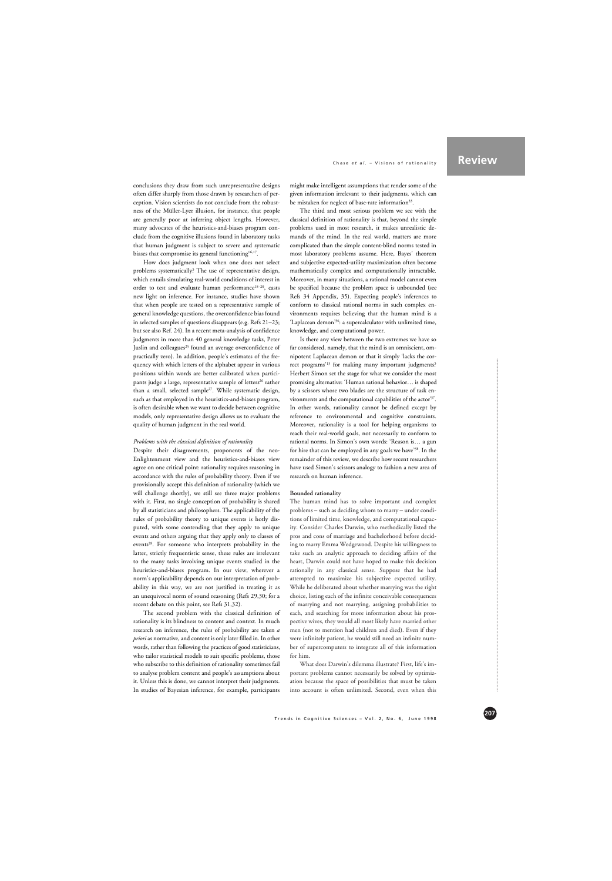conclusions they draw from such unrepresentative designs often differ sharply from those drawn by researchers of perception. Vision scientists do not conclude from the robustness of the Müller-Lyer illusion, for instance, that people are generally poor at inferring object lengths. However, many advocates of the heuristics-and-biases program conclude from the cognitive illusions found in laboratory tasks that human judgment is subject to severe and systematic biases that compromise its general functioning<sup>16,17</sup>.

How does judgment look when one does not select problems systematically? The use of representative design, which entails simulating real-world conditions of interest in order to test and evaluate human performance<sup>18-20</sup>, casts new light on inference. For instance, studies have shown that when people are tested on a representative sample of general knowledge questions, the overconfidence bias found in selected samples of questions disappears (e.g. Refs 21–23; but see also Ref. 24). In a recent meta-analysis of confidence judgments in more than 40 general knowledge tasks, Peter Juslin and colleagues<sup>25</sup> found an average overconfidence of practically zero). In addition, people's estimates of the frequency with which letters of the alphabet appear in various positions within words are better calibrated when participants judge a large, representative sample of letters<sup>26</sup> rather than a small, selected sample<sup>27</sup>. While systematic design, such as that employed in the heuristics-and-biases program, is often desirable when we want to decide between cognitive models, only representative design allows us to evaluate the quality of human judgment in the real world.

## *Problems with the classical definition of rationality*

Despite their disagreements, proponents of the neo-Enlightenment view and the heuristics-and-biases view agree on one critical point: rationality requires reasoning in accordance with the rules of probability theory. Even if we provisionally accept this definition of rationality (which we will challenge shortly), we still see three major problems with it. First, no single conception of probability is shared by all statisticians and philosophers. The applicability of the rules of probability theory to unique events is hotly disputed, with some contending that they apply to unique events and others arguing that they apply only to classes of events<sup>28</sup>. For someone who interprets probability in the latter, strictly frequentistic sense, these rules are irrelevant to the many tasks involving unique events studied in the heuristics-and-biases program. In our view, wherever a norm's applicability depends on our interpretation of probability in this way, we are not justified in treating it as an unequivocal norm of sound reasoning (Refs 29,30; for a recent debate on this point, see Refs 31,32).

The second problem with the classical definition of rationality is its blindness to content and context. In much research on inference, the rules of probability are taken *a priori* as normative, and content is only later filled in. In other words, rather than following the practices of good statisticians, who tailor statistical models to suit specific problems, those who subscribe to this definition of rationality sometimes fail to analyse problem content and people's assumptions about it. Unless this is done, we cannot interpret their judgments. In studies of Bayesian inference, for example, participants

might make intelligent assumptions that render some of the given information irrelevant to their judgments, which can be mistaken for neglect of base-rate information<sup>33</sup>.

The third and most serious problem we see with the classical definition of rationality is that, beyond the simple problems used in most research, it makes unrealistic demands of the mind. In the real world, matters are more complicated than the simple content-blind norms tested in most laboratory problems assume. Here, Bayes' theorem and subjective expected-utility maximization often become mathematically complex and computationally intractable. Moreover, in many situations, a rational model cannot even be specified because the problem space is unbounded (see Refs 34 Appendix, 35). Expecting people's inferences to conform to classical rational norms in such complex environments requires believing that the human mind is a 'Laplacean demon'36: a supercalculator with unlimited time, knowledge, and computational power.

Is there any view between the two extremes we have so far considered, namely, that the mind is an omniscient, omnipotent Laplacean demon or that it simply 'lacks the correct programs'13 for making many important judgments? Herbert Simon set the stage for what we consider the most promising alternative: 'Human rational behavior… is shaped by a scissors whose two blades are the structure of task environments and the computational capabilities of the actor<sup>37</sup>. In other words, rationality cannot be defined except by reference to environmental and cognitive constraints. Moreover, rationality is a tool for helping organisms to reach their real-world goals, not necessarily to conform to rational norms. In Simon's own words: 'Reason is… a gun for hire that can be employed in any goals we have'38. In the remainder of this review, we describe how recent researchers have used Simon's scissors analogy to fashion a new area of research on human inference.

### **Bounded rationality**

The human mind has to solve important and complex problems – such as deciding whom to marry – under conditions of limited time, knowledge, and computational capacity. Consider Charles Darwin, who methodically listed the pros and cons of marriage and bachelorhood before deciding to marry Emma Wedgewood. Despite his willingness to take such an analytic approach to deciding affairs of the heart, Darwin could not have hoped to make this decision rationally in any classical sense. Suppose that he had attempted to maximize his subjective expected utility. While he deliberated about whether marrying was the right choice, listing each of the infinite conceivable consequences of marrying and not marrying, assigning probabilities to each, and searching for more information about his prospective wives, they would all most likely have married other men (not to mention had children and died). Even if they were infinitely patient, he would still need an infinite number of supercomputers to integrate all of this information for him.

What does Darwin's dilemma illustrate? First, life's important problems cannot necessarily be solved by optimization because the space of possibilities that must be taken into account is often unlimited. Second, even when this

**207**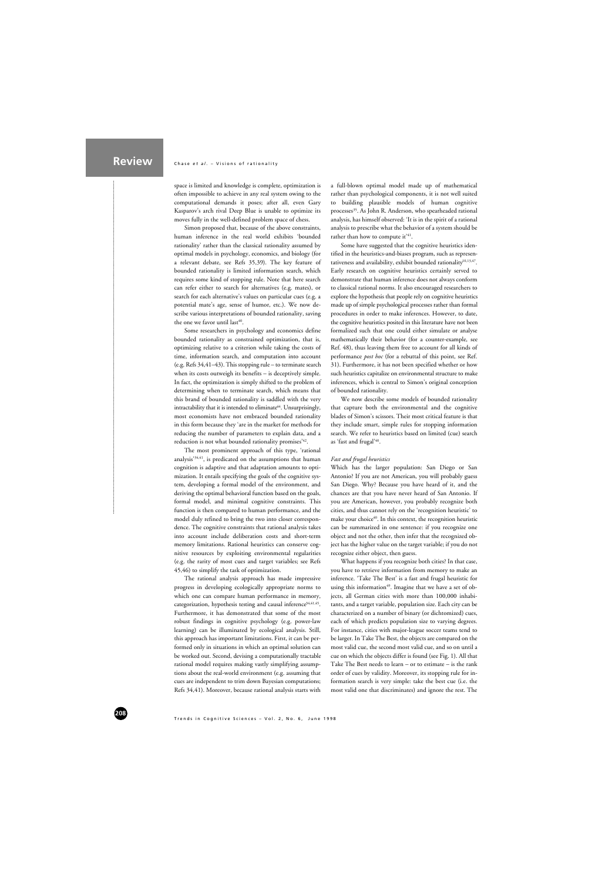space is limited and knowledge is complete, optimization is often impossible to achieve in any real system owing to the computational demands it poses; after all, even Gary Kasparov's arch rival Deep Blue is unable to optimize its moves fully in the well-defined problem space of chess.

Simon proposed that, because of the above constraints, human inference in the real world exhibits 'bounded rationality' rather than the classical rationality assumed by optimal models in psychology, economics, and biology (for a relevant debate, see Refs 35,39). The key feature of bounded rationality is limited information search, which requires some kind of stopping rule. Note that here search can refer either to search for alternatives (e.g. mates), or search for each alternative's values on particular cues (e.g. a potential mate's age, sense of humor, etc.). We now describe various interpretations of bounded rationality, saving the one we favor until last<sup>40</sup>.

Some researchers in psychology and economics define bounded rationality as constrained optimization, that is, optimizing relative to a criterion while taking the costs of time, information search, and computation into account (e.g. Refs 34,41–43). This stopping rule – to terminate search when its costs outweigh its benefits – is deceptively simple. In fact, the optimization is simply shifted to the problem of determining when to terminate search, which means that this brand of bounded rationality is saddled with the very intractability that it is intended to eliminate<sup>44</sup>. Unsurprisingly, most economists have not embraced bounded rationality in this form because they 'are in the market for methods for reducing the number of parameters to explain data, and a reduction is not what bounded rationality promises<sup>'42</sup>.

The most prominent approach of this type, 'rational analysis'34,41, is predicated on the assumptions that human cognition is adaptive and that adaptation amounts to optimization. It entails specifying the goals of the cognitive system, developing a formal model of the environment, and deriving the optimal behavioral function based on the goals, formal model, and minimal cognitive constraints. This function is then compared to human performance, and the model duly refined to bring the two into closer correspondence. The cognitive constraints that rational analysis takes into account include deliberation costs and short-term memory limitations. Rational heuristics can conserve cognitive resources by exploiting environmental regularities (e.g. the rarity of most cues and target variables; see Refs 45,46) to simplify the task of optimization.

The rational analysis approach has made impressive progress in developing ecologically appropriate norms to which one can compare human performance in memory, categorization, hypothesis testing and causal inference<sup>34,41,45</sup>. Furthermore, it has demonstrated that some of the most robust findings in cognitive psychology (e.g. power-law learning) can be illuminated by ecological analysis. Still, this approach has important limitations. First, it can be performed only in situations in which an optimal solution can be worked out. Second, devising a computationally tractable rational model requires making vastly simplifying assumptions about the real-world environment (e.g. assuming that cues are independent to trim down Bayesian computations; Refs 34,41). Moreover, because rational analysis starts with a full-blown optimal model made up of mathematical rather than psychological components, it is not well suited to building plausible models of human cognitive processes<sup>35</sup>. As John R. Anderson, who spearheaded rational analysis, has himself observed: 'It is in the spirit of a rational analysis to prescribe what the behavior of a system should be rather than how to compute it<sup>'41</sup>.

Some have suggested that the cognitive heuristics identified in the heuristics-and-biases program, such as representativeness and availability, exhibit bounded rationality<sup>10,13,47</sup>. Early research on cognitive heuristics certainly served to demonstrate that human inference does not always conform to classical rational norms. It also encouraged researchers to explore the hypothesis that people rely on cognitive heuristics made up of simple psychological processes rather than formal procedures in order to make inferences. However, to date, the cognitive heuristics posited in this literature have not been formalized such that one could either simulate or analyse mathematically their behavior (for a counter-example, see Ref. 48), thus leaving them free to account for all kinds of performance *post hoc* (for a rebuttal of this point, see Ref. 31). Furthermore, it has not been specified whether or how such heuristics capitalize on environmental structure to make inferences, which is central to Simon's original conception of bounded rationality.

We now describe some models of bounded rationality that capture both the environmental and the cognitive blades of Simon's scissors. Their most critical feature is that they include smart, simple rules for stopping information search. We refer to heuristics based on limited (cue) search as 'fast and frugal'40.

#### *Fast and frugal heuristics*

Which has the larger population: San Diego or San Antonio? If you are not American, you will probably guess San Diego. Why? Because you have heard of it, and the chances are that you have never heard of San Antonio. If you are American, however, you probably recognize both cities, and thus cannot rely on the 'recognition heuristic' to make your choice<sup>40</sup>. In this context, the recognition heuristic can be summarized in one sentence: if you recognize one object and not the other, then infer that the recognized object has the higher value on the target variable; if you do not recognize either object, then guess.

What happens if you recognize both cities? In that case, you have to retrieve information from memory to make an inference. 'Take The Best' is a fast and frugal heuristic for using this information<sup>49</sup>. Imagine that we have a set of objects, all German cities with more than 100,000 inhabitants, and a target variable, population size. Each city can be characterized on a number of binary (or dichtomized) cues, each of which predicts population size to varying degrees. For instance, cities with major-league soccer teams tend to be larger. In Take The Best, the objects are compared on the most valid cue, the second most valid cue, and so on until a cue on which the objects differ is found (see Fig. 1). All that Take The Best needs to learn – or to estimate – is the rank order of cues by validity. Moreover, its stopping rule for information search is very simple: take the best cue (i.e. the most valid one that discriminates) and ignore the rest. The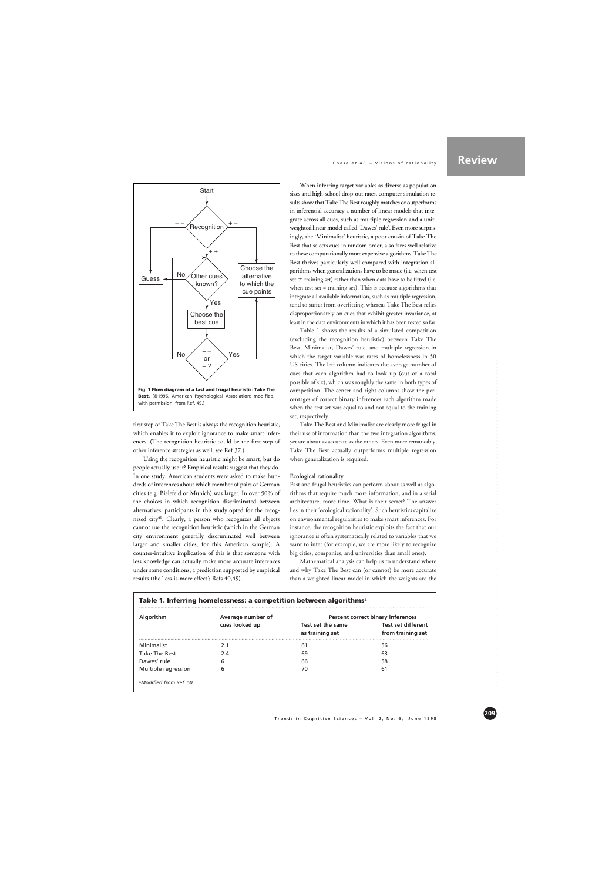**209**



first step of Take The Best is always the recognition heuristic, which enables it to exploit ignorance to make smart inferences. (The recognition heuristic could be the first step of other inference strategies as well; see Ref 37.)

Using the recognition heuristic might be smart, but do people actually use it? Empirical results suggest that they do. In one study, American students were asked to make hundreds of inferences about which member of pairs of German cities (e.g. Bielefeld or Munich) was larger. In over 90% of the choices in which recognition discriminated between alternatives, participants in this study opted for the recognized city<sup>40</sup>. Clearly, a person who recognizes all objects cannot use the recognition heuristic (which in the German city environment generally discriminated well between larger and smaller cities, for this American sample). A counter-intuitive implication of this is that someone with less knowledge can actually make more accurate inferences under some conditions, a prediction supported by empirical results (the 'less-is-more effect'; Refs 40,49).

When inferring target variables as diverse as population sizes and high-school drop-out rates, computer simulation results show that Take The Best roughly matches or outperforms in inferential accuracy a number of linear models that integrate across all cues, such as multiple regression and a unitweighted linear model called 'Dawes' rule'. Even more surprisingly, the 'Minimalist' heuristic, a poor cousin of Take The Best that selects cues in random order, also fares well relative to these computationally more expensive algorithms. Take The Best thrives particularly well compared with integration algorithms when generalizations have to be made (i.e. when test set  $\neq$  training set) rather than when data have to be fitted (i.e. when test set = training set). This is because algorithms that integrate all available information, such as multiple regression, tend to suffer from overfitting, whereas Take The Best relies disproportionately on cues that exhibit greater invariance, at least in the data environments in which it has been tested so far.

Table 1 shows the results of a simulated competition (excluding the recognition heuristic) between Take The Best, Minimalist, Dawes' rule, and multiple regression in which the target variable was rates of homelessness in 50 US cities. The left column indicates the average number of cues that each algorithm had to look up (out of a total possible of six), which was roughly the same in both types of competition. The center and right columns show the percentages of correct binary inferences each algorithm made when the test set was equal to and not equal to the training set, respectively.

Take The Best and Minimalist are clearly more frugal in their use of information than the two integration algorithms, yet are about as accurate as the others. Even more remarkably, Take The Best actually outperforms multiple regression when generalization is required.

## **Ecological rationality**

Fast and frugal heuristics can perform about as well as algorithms that require much more information, and in a serial architecture, more time. What is their secret? The answer lies in their 'ecological rationality'. Such heuristics capitalize on environmental regularities to make smart inferences. For instance, the recognition heuristic exploits the fact that our ignorance is often systematically related to variables that we want to infer (for example, we are more likely to recognize big cities, companies, and universities than small ones).

Mathematical analysis can help us to understand where and why Take The Best can (or cannot) be more accurate than a weighted linear model in which the weights are the

| <b>Algorithm</b>     | Average number of<br>cues looked up | Percent correct binary inferences    |                                                |
|----------------------|-------------------------------------|--------------------------------------|------------------------------------------------|
|                      |                                     | Test set the same<br>as training set | <b>Test set different</b><br>from training set |
| Minimalist           | 2.1                                 | 61                                   | 56                                             |
| <b>Take The Best</b> | 2.4                                 | 69                                   | 63                                             |
| Dawes' rule          | 6                                   | 66                                   | 58                                             |
| Multiple regression  | 6                                   | 70                                   | 61                                             |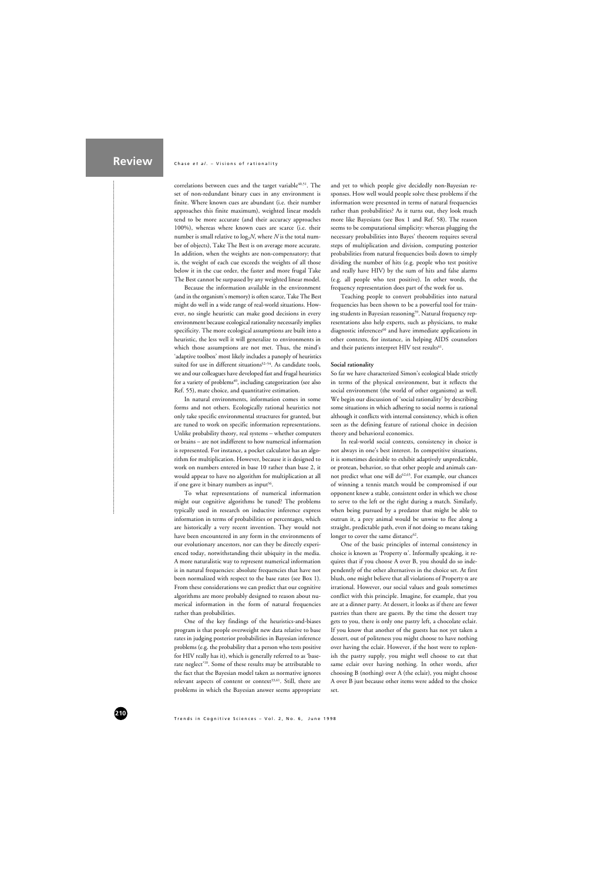**210**

correlations between cues and the target variable<sup>40,51</sup>. The set of non-redundant binary cues in any environment is finite. Where known cues are abundant (i.e. their number approaches this finite maximum), weighted linear models tend to be more accurate (and their accuracy approaches 100%), whereas where known cues are scarce (i.e. their number is small relative to  $log_2N$ , where *N* is the total number of objects), Take The Best is on average more accurate. In addition, when the weights are non-compensatory; that is, the weight of each cue exceeds the weights of all those below it in the cue order, the faster and more frugal Take The Best cannot be surpassed by any weighted linear model.

Because the information available in the environment (and in the organism's memory) is often scarce, Take The Best might do well in a wide range of real-world situations. However, no single heuristic can make good decisions in every environment because ecological rationality necessarily implies specificity. The more ecological assumptions are built into a heuristic, the less well it will generalize to environments in which those assumptions are not met. Thus, the mind's 'adaptive toolbox' most likely includes a panoply of heuristics suited for use in different situations<sup>52-54</sup>. As candidate tools, we and our colleagues have developed fast and frugal heuristics for a variety of problems<sup>40</sup>, including categorization (see also Ref. 55), mate choice, and quantitative estimation.

In natural environments, information comes in some forms and not others. Ecologically rational heuristics not only take specific environmental structures for granted, but are tuned to work on specific information representations. Unlike probability theory, real systems – whether computers or brains – are not indifferent to how numerical information is represented. For instance, a pocket calculator has an algorithm for multiplication. However, because it is designed to work on numbers entered in base 10 rather than base 2, it would appear to have no algorithm for multiplication at all if one gave it binary numbers as input<sup>56</sup>.

To what representations of numerical information might our cognitive algorithms be tuned? The problems typically used in research on inductive inference express information in terms of probabilities or percentages, which are historically a very recent invention. They would not have been encountered in any form in the environments of our evolutionary ancestors, nor can they be directly experienced today, notwithstanding their ubiquity in the media. A more naturalistic way to represent numerical information is in natural frequencies: absolute frequencies that have not been normalized with respect to the base rates (see Box 1). From these considerations we can predict that our cognitive algorithms are more probably designed to reason about numerical information in the form of natural frequencies rather than probabilities.

One of the key findings of the heuristics-and-biases program is that people overweight new data relative to base rates in judging posterior probabilities in Bayesian inference problems (e.g. the probability that a person who tests positive for HIV really has it), which is generally referred to as 'baserate neglect'<sup>10</sup>. Some of these results may be attributable to the fact that the Bayesian model taken as normative ignores relevant aspects of content or context<sup>33,61</sup>. Still, there are problems in which the Bayesian answer seems appropriate and yet to which people give decidedly non-Bayesian responses. How well would people solve these problems if the information were presented in terms of natural frequencies rather than probabilities? As it turns out, they look much more like Bayesians (see Box 1 and Ref. 58). The reason seems to be computational simplicity: whereas plugging the necessary probabilities into Bayes' theorem requires several steps of multiplication and division, computing posterior probabilities from natural frequencies boils down to simply dividing the number of hits (e.g. people who test positive and really have HIV) by the sum of hits and false alarms (e.g. all people who test positive). In other words, the frequency representation does part of the work for us.

Teaching people to convert probabilities into natural frequencies has been shown to be a powerful tool for training students in Bayesian reasoning<sup>59</sup>. Natural frequency representations also help experts, such as physicians, to make diagnostic inferences<sup>60</sup> and have immediate applications in other contexts, for instance, in helping AIDS counselors and their patients interpret HIV test results<sup>61</sup>.

### **Social rationality**

So far we have characterized Simon's ecological blade strictly in terms of the physical environment, but it reflects the social environment (the world of other organisms) as well. We begin our discussion of 'social rationality' by describing some situations in which adhering to social norms is rational although it conflicts with internal consistency, which is often seen as the defining feature of rational choice in decision theory and behavioral economics.

In real-world social contexts, consistency in choice is not always in one's best interest. In competitive situations, it is sometimes desirable to exhibit adaptively unpredictable, or protean, behavior, so that other people and animals cannot predict what one will do<sup>62,63</sup>. For example, our chances of winning a tennis match would be compromised if our opponent knew a stable, consistent order in which we chose to serve to the left or the right during a match. Similarly, when being pursued by a predator that might be able to outrun it, a prey animal would be unwise to flee along a straight, predictable path, even if not doing so means taking longer to cover the same distance<sup>62</sup>.

One of the basic principles of internal consistency in choice is known as 'Property  $\alpha$ '. Informally speaking, it requires that if you choose A over B, you should do so independently of the other alternatives in the choice set. At first blush, one might believe that all violations of Property  $\alpha$  are irrational. However, our social values and goals sometimes conflict with this principle. Imagine, for example, that you are at a dinner party. At dessert, it looks as if there are fewer pastries than there are guests. By the time the dessert tray gets to you, there is only one pastry left, a chocolate eclair. If you know that another of the guests has not yet taken a dessert, out of politeness you might choose to have nothing over having the eclair. However, if the host were to replenish the pastry supply, you might well choose to eat that same eclair over having nothing. In other words, after choosing B (nothing) over A (the eclair), you might choose A over B just because other items were added to the choice set.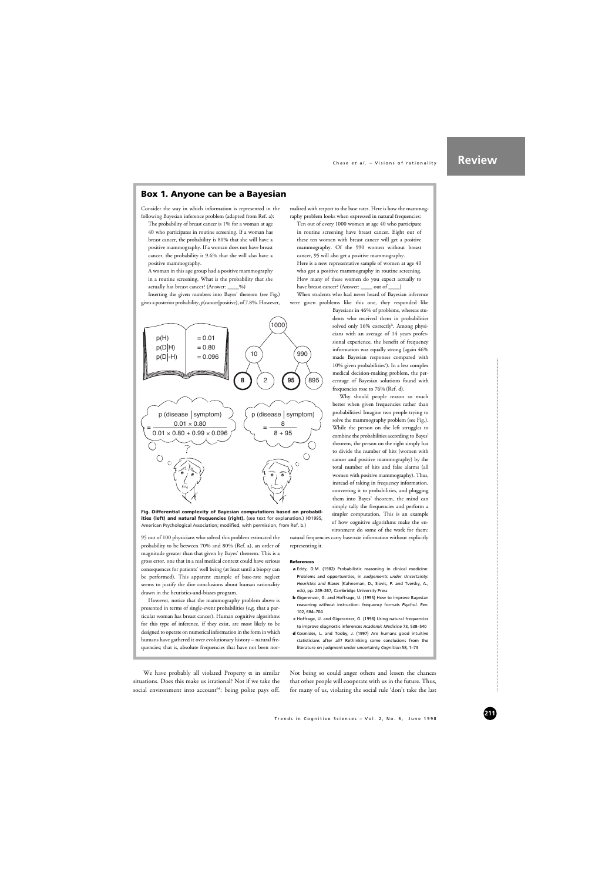## **Review**

## Box 1. Anyone can be a Bayesian

Consider the way in which information is represented in the following Bayesian inference problem (adapted from Ref. a):

The probability of breast cancer is 1% for a woman at age 40 who participates in routine screening. If a woman has breast cancer, the probability is 80% that she will have a positive mammography. If a woman does not have breast cancer, the probability is 9.6% that she will also have a positive mammography.

A woman in this age group had a positive mammography in a routine screening. What is the probability that she actually has breast cancer? (Answer: \_\_\_\_%)

Inserting the given numbers into Bayes' thereom (see Fig.) gives a posterior probability, *p*(cancer|positive), of 7.8%. However,



Fig. Differential complexity of Bayesian computations based on probabilities (left) and natural frequencies (right). (see text for explanation.) (©1995, American Psychological Association; modified, with permission, from Ref. b.)

95 out of 100 physicians who solved this problem estimated the probability to be between 70% and 80% (Ref. a), an order of magnitude greater than that given by Bayes' theorem. This is a gross error, one that in a real medical context could have serious consequences for patients' well being (at least until a biopsy can be performed). This apparent example of base-rate neglect seems to justify the dire conclusions about human rationality drawn in the heuristics-and-biases program.

However, notice that the mammography problem above is presented in terms of single-event probabilities (e.g. that a particular woman has breast cancer). Human cognitive algorithms for this type of inference, if they exist, are most likely to be designed to operate on numerical information in the form in which humans have gathered it over evolutionary history – natural frequencies; that is, absolute frequencies that have not been nor-

We have probably all violated Property  $\alpha$  in similar situations. Does this make us irrational? Not if we take the social environment into account<sup>64</sup>: being polite pays off. malized with respect to the base rates. Here is how the mammography problem looks when expressed in natural frequencies:

Ten out of every 1000 women at age 40 who participate in routine screening have breast cancer. Eight out of these ten women with breast cancer will get a positive mammography. Of the 990 women without breast cancer, 95 will also get a positive mammography.

Here is a new representative sample of women at age 40 who got a positive mammography in routine screening. How many of these women do you expect actually to have breast cancer? (Answer: \_\_\_\_\_ out of \_\_\_\_)

When students who had never heard of Bayesian inference were given problems like this one, they responded like

> Bayesians in 46% of problems, whereas students who received them in probabilities solved only 16% correctly<sup>b</sup>. Among physicians with an average of 14 years professional experience, the benefit of frequency information was equally strong (again 46% made Bayesian responses compared with 10% given probabilities<sup>c</sup>). In a less complex medical decision-making problem, the percentage of Bayesian solutions found with frequencies rose to 76% (Ref. d).

> Why should people reason so much better when given frequencies rather than probabilities? Imagine two people trying to solve the mammography problem (see Fig.). While the person on the left struggles to combine the probabilities according to Bayes' theorem, the person on the right simply has to divide the number of hits (women with cancer and positive mammography) by the total number of hits and false alarms (all women with positive mammography). Thus, instead of taking in frequency information, converting it to probabilities, and plugging them into Bayes' theorem, the mind can simply tally the frequencies and perform a simpler computation. This is an example of how cognitive algorithms make the environment do some of the work for them:

natural frequencies carry base-rate information without explicitly representing it.

#### References

- a Eddy, D.M. (1982) Probabilistic reasoning in clinical medicine: Problems and opportunities, in *Judgements under Uncertainty: Heuristics and Biases* (Kahneman, D., Slovic, P. and Tversky, A., eds), pp. 249–267, Cambridge University Press
- b Gigerenzer, G. and Hoffrage, U. (1995) How to improve Bayesian reasoning without instruction: frequency formats *Psychol. Rev.* 102, 684–704
- c Hoffrage, U. and Gigerenzer, G. (1998) Using natural frequencies to improve diagnostic inferences *Academic Medicine* 73, 538–540
- d Cosmides, L. and Tooby, J. (1997) Are humans good intuitive statisticians after all? Rethinking some conclusions from the literature on judgment under uncertainty *Cognition* 58, 1–73

Not being so could anger others and lessen the chances that other people will cooperate with us in the future. Thus, for many of us, violating the social rule 'don't take the last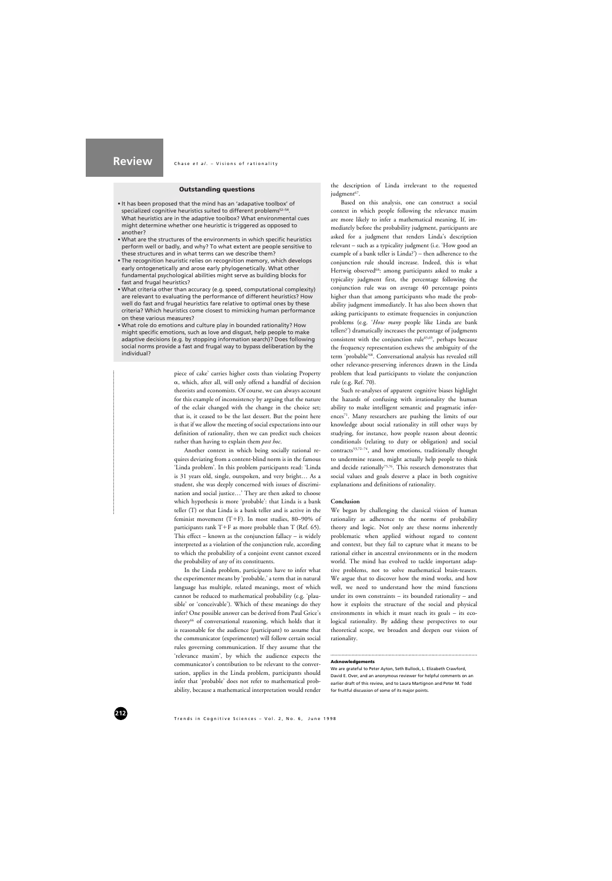## Outstanding questions

- It has been proposed that the mind has an 'adapative toolbox' of specialized cognitive heuristics suited to different problems<sup>52-54</sup>. What heuristics are in the adaptive toolbox? What environmental cues might determine whether one heuristic is triggered as opposed to another?
- What are the structures of the environments in which specific heuristics perform well or badly, and why? To what extent are people sensitive to these structures and in what terms can we describe them?
- The recognition heuristic relies on recognition memory, which develops early ontogenetically and arose early phylogenetically. What other fundamental psychological abilities might serve as building blocks for fast and frugal heuristics?
- What criteria other than accuracy (e.g. speed, computational complexity) are relevant to evaluating the performance of different heuristics? How well do fast and frugal heuristics fare relative to optimal ones by these criteria? Which heuristics come closest to mimicking human performance on these various measures?
- What role do emotions and culture play in bounded rationality? How might specific emotions, such as love and disgust, help people to make adaptive decisions (e.g. by stopping information search)? Does following social norms provide a fast and frugal way to bypass deliberation by the individual?

piece of cake' carries higher costs than violating Property  $\alpha$ , which, after all, will only offend a handful of decision theorists and economists. Of course, we can always account for this example of inconsistency by arguing that the nature of the eclair changed with the change in the choice set; that is, it ceased to be the last dessert. But the point here is that if we allow the meeting of social expectations into our definition of rationality, then we can predict such choices rather than having to explain them *post hoc*.

Another context in which being socially rational requires deviating from a content-blind norm is in the famous 'Linda problem'. In this problem participants read: 'Linda is 31 years old, single, outspoken, and very bright… As a student, she was deeply concerned with issues of discrimination and social justice…' They are then asked to choose which hypothesis is more 'probable': that Linda is a bank teller (T) or that Linda is a bank teller and is active in the feminist movement  $(T+F)$ . In most studies, 80-90% of participants rank  $T+F$  as more probable than T (Ref. 65). This effect – known as the conjunction fallacy – is widely interpreted as a violation of the conjunction rule, according to which the probability of a conjoint event cannot exceed the probability of any of its constituents.

In the Linda problem, participants have to infer what the experimenter means by 'probable,' a term that in natural language has multiple, related meanings, most of which cannot be reduced to mathematical probability (e.g. 'plausible' or 'conceivable'). Which of these meanings do they infer? One possible answer can be derived from Paul Grice's theory<sup>66</sup> of conversational reasoning, which holds that it is reasonable for the audience (participant) to assume that the communicator (experimenter) will follow certain social rules governing communication. If they assume that the 'relevance maxim', by which the audience expects the communicator's contribution to be relevant to the conversation, applies in the Linda problem, participants should infer that 'probable' does not refer to mathematical probability, because a mathematical interpretation would render the description of Linda irrelevant to the requested judgment<sup>67</sup>.

Based on this analysis, one can construct a social context in which people following the relevance maxim are more likely to infer a mathematical meaning. If, immediately before the probability judgment, participants are asked for a judgment that renders Linda's description relevant – such as a typicality judgment (i.e. 'How good an example of a bank teller is Linda?') – then adherence to the conjunction rule should increase. Indeed, this is what Hertwig observed<sup>68</sup>: among participants asked to make a typicality judgment first, the percentage following the conjunction rule was on average 40 percentage points higher than that among participants who made the probability judgment immediately. It has also been shown that asking participants to estimate frequencies in conjunction problems (e.g. '*How many* people like Linda are bank tellers?') dramatically increases the percentage of judgments consistent with the conjunction rule<sup>65,69</sup>, perhaps because the frequency representation eschews the ambiguity of the term 'probable'68. Conversational analysis has revealed still other relevance-preserving inferences drawn in the Linda problem that lead participants to violate the conjunction rule (e.g. Ref. 70).

Such re-analyses of apparent cognitive biases highlight the hazards of confusing with irrationality the human ability to make intelligent semantic and pragmatic inferences71. Many researchers are pushing the limits of our knowledge about social rationality in still other ways by studying, for instance, how people reason about deontic conditionals (relating to duty or obligation) and social contracts53,72–74, and how emotions, traditionally thought to undermine reason, might actually help people to think and decide rationally<sup>75,76</sup>. This research demonstrates that social values and goals deserve a place in both cognitive explanations and definitions of rationality.

## **Conclusion**

We began by challenging the classical vision of human rationality as adherence to the norms of probability theory and logic. Not only are these norms inherently problematic when applied without regard to content and context, but they fail to capture what it means to be rational either in ancestral environments or in the modern world. The mind has evolved to tackle important adaptive problems, not to solve mathematical brain-teasers. We argue that to discover how the mind works, and how well, we need to understand how the mind functions under its own constraints – its bounded rationality – and how it exploits the structure of the social and physical environments in which it must reach its goals – its ecological rationality. By adding these perspectives to our theoretical scope, we broaden and deepen our vision of rationality.

#### Acknowledgements

We are grateful to Peter Ayton, Seth Bullock, L. Elizabeth Crawford, David E. Over, and an anonymous reviewer for helpful comments on an earlier draft of this review, and to Laura Martignon and Peter M. Todd for fruitful discussion of some of its major points.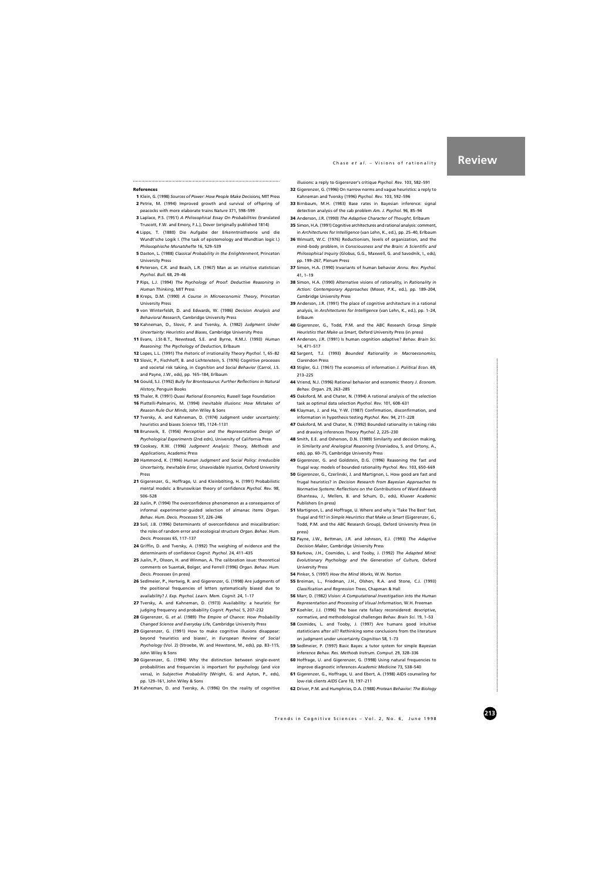#### References

- 1 Klein, G. (1998) *Sources of Power: How People Make Decisions*, MIT Press 2 Petrie, M. (1994) Improved growth and survival of offspring of
- peacocks with more elaborate trains *Nature* 371, 598–599 3 Laplace, P.S. (1951) *A Philosophical Essay On Probabilities* (translated
- Truscott, F.W. and Emory, F.L.), Dover (originally published 1814)
- 4 Lipps, T. (1880) Die Aufgabe der Erkenntnistheorie und die Wundt'sche Logik I. (The task of epistemology and Wundtian logic I.) *Philosophische Monatshefte* 16, 529–539
- 5 Daston, L. (1988) *Classical Probability in the Enlightenment*, Princeton University Press
- 6 Peterson, C.R. and Beach, L.R. (1967) Man as an intuitive statistician *Psychol. Bull.* 68, 29–46
- 7 Rips, L.J. (1994) *The Psychology of Proof: Deductive Reasoning in Human Thinking*, MIT Press
- 8 Kreps, D.M. (1990) *A Course in Microeconomic Theory*, Princeton University Press
- 9 von Winterfeldt, D. and Edwards, W. (1986) *Decision Analysis and Behavioral Research*, Cambridge University Press
- 10 Kahneman, D., Slovic, P. and Tversky, A. (1982) *Judgment Under Uncertainty: Heuristics and Biases*, Cambridge University Press
- 11 Evans, J.St-B.T., Newstead, S.E. and Byrne, R.M.J. (1993) *Human Reasoning: The Psychology of Deduction*, Erlbaum
- 12 Lopes, L.L. (1991) The rhetoric of irrationality *Theory Psychol.* 1, 65–82
- 13 Slovic, P., Fischhoff, B. and Lichtenstein, S. (1976) Cognitive processes and societal risk taking, in *Cognition and Social Behavior* (Carrol, J.S. and Payne, J.W., eds), pp. 165–184, Erlbaum
- 14 Gould, S.J. (1992) *Bully for Brontosaurus: Further Reflections in Natural History*, Penguin Books
- 15 Thaler, R. (1991) *Quasi Rational Economics,* Russell Sage Foundation
- 16 Piattelli-Palmarini, M. (1994) *Inevitable Illusions: How Mistakes of Reason Rule Our Minds*, John Wiley & Sons
- 17 Tversky, A. and Kahneman, D. (1974) Judgment under uncertainty: heuristics and biases *Science* 185, 1124–1131
- 18 Brunswik, E. (1956) *Perception and the Representative Design of Psychological Experiments* (2nd edn), University of California Press
- 19 Cooksey, R.W. (1996) *Judgment Analysis: Theory, Methods and Applications*, Academic Press
- 20 Hammond, K. (1996) *Human Judgment and Social Policy: Irreducible Uncertainty, Inevitable Error, Unavoidable Injustice*, Oxford University Press
- 21 Gigerenzer, G., Hoffrage, U. and Kleinbölting, H. (1991) Probabilistic mental models: a Brunswikian theory of confidence *Psychol. Rev.* 98, 506–528
- 22 Juslin, P. (1994) The overconfidence phenomenon as a consequence of informal experimenter-guided selection of almanac items *Organ. Behav. Hum. Decis. Processes* 57, 226–246
- 23 Soll, J.B. (1996) Determinants of overconfidence and miscalibration: the roles of random error and ecological structure *Organ. Behav. Hum. Decis. Processes* 65, 117–137
- 24 Griffin, D. and Tversky, A. (1992) The weighing of evidence and the determinants of confidence *Cognit. Psychol.* 24, 411–435
- 25 Juslin, P., Olsson, H. and Winman, A. The calibration issue: theoretical comments on Suantak, Bolger, and Ferrell (1996) *Organ. Behav. Hum. Decis. Processes* (in press)
- 26 Sedlmeier, P., Hertwig, R. and Gigerenzer, G. (1998) Are judgments of the positional frequencies of letters systematically biased due to availability? *J. Exp. Psychol. Learn. Mem. Cognit.* 24, 1–17
- 27 Tversky, A. and Kahneman, D. (1973) Availability: a heuristic for judging frequency and probability *Cognit. Psychol.* 5, 207–232
- 28 Gigerenzer, G. *et al.* (1989) *The Empire of Chance: How Probability Changed Science and Everyday Life*, Cambridge University Press
- 29 Gigerenzer, G. (1991) How to make cognitive illusions disappear: beyond 'heuristics and biases', in *European Review of Social Psychology* (Vol. 2) (Stroebe, W. and Hewstone, M., eds), pp. 83–115, John Wiley & Sons
- 30 Gigerenzer, G. (1994) Why the distinction between single-event probabilities and frequencies is important for psychology (and vice versa), in *Subjective Probability* (Wright, G. and Ayton, P.*,* eds), pp. 129–161, John Wiley & Sons
- 31 Kahneman, D. and Tversky, A. (1996) On the reality of cognitive

illusions: a reply to Gigerenzer's critique *Psychol. Rev.* 103, 582–591 32 Gigerenzer, G. (1996) On narrow norms and vague heuristics: a reply to Kahneman and Tversky (1996) *Psychol. Rev.* 103, 592–596

- 33 Birnbaum, M.H. (1983) Base rates in Bayesian inference: signal detection analysis of the cab problem *Am. J. Psychol.* 96, 85–94
- 34 Anderson, J.R. (1990) *The Adaptive Character of Thought*, Erlbaum 35 Simon, H.A. (1991) Cognitive architectures and rational analysis: comment,
- in *Architectures for Intelligence* (van Lehn, K., ed.), pp. 25–40, Erlbaum 36 Wimsatt, W.C. (1976) Reductionism, levels of organization, and the
- mind–body problem, in *Consciousness and the Brain: A Scientific and Philosophical Inquiry* (Globus, G.G., Maxwell, G. and Savodnik, I., eds), pp. 199–267, Plenum Press
- 37 Simon, H.A. (1990) Invariants of human behavior *Annu. Rev. Psychol.* 41, 1–19
- 38 Simon, H.A. (1990) Alternative visions of rationality, in *Rationality in Action: Contemporary Approaches* (Moser, P.K., ed.), pp. 189–204, Cambridge University Press
- 39 Anderson, J.R. (1991) The place of cognitive architecture in a rational analysis, in *Architectures for Intelligence* (van Lehn, K., ed.), pp. 1–24, Erlbaum
- 40 Gigerenzer, G., Todd, P.M. and the ABC Research Group *Simple Heuristics that Make us Smart*, Oxford University Press (in press)
- 41 Anderson, J.R. (1991) Is human cognition adaptive? *Behav. Brain Sci.* 14, 471–517
- 42 Sargent, T.J. (1993) *Bounded Rationality in Macroeconomics,* Clarendon Press
- 43 Stigler, G.J. (1961) The economics of information *J. Political Econ.* 69, 213–225
- 44 Vriend, N.J. (1996) Rational behavior and economic theory *J. Econom. Behav. Organ.* 29, 263–285
- 45 Oaksford, M. and Chater, N. (1994) A rational analysis of the selection task as optimal data selection *Psychol. Rev.* 101, 608–631
- 46 Klayman, J. and Ha, Y-W. (1987) Confirmation, disconfirmation, and information in hypothesis testing *Psychol. Rev.* 94, 211–228
- 47 Oaksford, M. and Chater, N. (1992) Bounded rationality in taking risks and drawing inferences *Theory Psychol.* 2, 225–230
- 48 Smith, E.E. and Osherson, D.N. (1989) Similarity and decision making, in *Similarity and Analogical Reasoning* (Vosniadou, S. and Ortony, A., eds), pp. 60–75, Cambridge University Press
- 49 Gigerenzer, G. and Goldstein, D.G. (1996) Reasoning the fast and frugal way: models of bounded rationality *Psychol. Rev.* 103, 650–669
- 50 Gigerenzer, G., Czerlinski, J. and Martignon, L. How good are fast and frugal heuristics? in *Decision Research from Bayesian Approaches to Normative Systems: Reflections on the Contributions of Ward Edwards* (Shanteau, J., Mellers, B. and Schum, D., eds), Kluwer Academic Publishers (in press)
- 51 Martignon, L. and Hoffrage, U. Where and why is 'Take The Best' fast, frugal and fit? in *Simple Heuristics that Make us Smart* (Gigerenzer, G., Todd, P.M. and the ABC Research Group), Oxford University Press (in press)
- 52 Payne, J.W., Bettman, J.R. and Johnson, E.J. (1993) *The Adaptive Decision Maker*, Cambridge University Press
- 53 Barkow, J.H., Cosmides, L. and Tooby, J. (1992) *The Adapted Mind: Evolutionary Psychology and the Generation of Culture,* Oxford University Press
- 54 Pinker, S. (1997) *How the Mind Works*, W.W. Norton
- 55 Breiman, L., Friedman, J.H., Olshen, R.A. and Stone, C.J. (1993) *Classification and Regression Trees*, Chapman & Hall
- 56 Marr, D. (1982) *Vision: A Computational Investigation into the Human Representation and Processing of Visual Information*, W.H. Freeman
- 57 Koehler, J.J. (1996) The base rate fallacy reconsidered: descriptive, normative, and methodological challenges *Behav. Brain Sci.* 19, 1–53
- 58 Cosmides, L. and Tooby, J. (1997) Are humans good intuitive statisticians after all? Rethinking some conclusions from the literature on judgment under uncertainty *Cognition* 58, 1–73
- 59 Sedlmeier, P. (1997) Basic Bayes: a tutor system for simple Bayesian inference *Behav. Res. Methods Instrum. Comput.* 29, 328–336
- 60 Hoffrage, U. and Gigerenzer, G. (1998) Using natural frequencies to improve diagnostic inferences *Academic Medicine* 73, 538–540
- 61 Gigerenzer, G., Hoffrage, U. and Ebert, A. (1998) AIDS counseling for low-risk clients *AIDS Care* 10, 197–211
- 62 Driver, P.M. and Humphries, D.A. (1988) *Protean Behavior: The Biology*